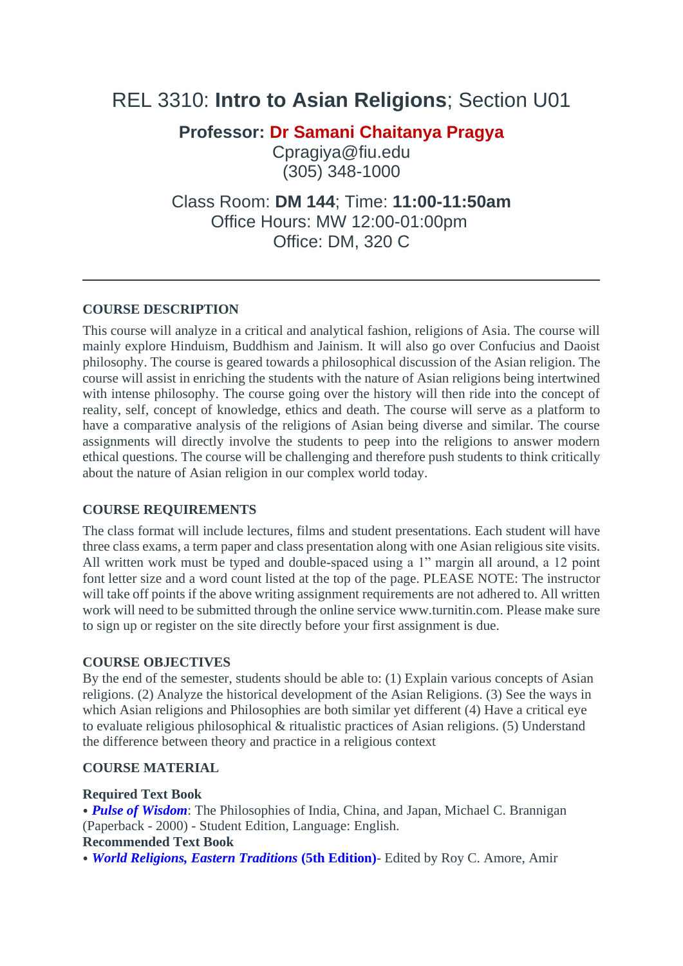# REL 3310: **Intro to Asian Religions**; Section U01

**Professor: Dr Samani Chaitanya Pragya**

Cpragiya@fiu.ed[u](mailto:professor@fiu.edu) (305) 348-1000

Class Room: **DM 144**; Time: **11:00-11:50am** Office Hours: MW 12:00-01:00pm Office: DM, 320 C

### **COURSE DESCRIPTION**

This course will analyze in a critical and analytical fashion, religions of Asia. The course will mainly explore Hinduism, Buddhism and Jainism. It will also go over Confucius and Daoist philosophy. The course is geared towards a philosophical discussion of the Asian religion. The course will assist in enriching the students with the nature of Asian religions being intertwined with intense philosophy. The course going over the history will then ride into the concept of reality, self, concept of knowledge, ethics and death. The course will serve as a platform to have a comparative analysis of the religions of Asian being diverse and similar. The course assignments will directly involve the students to peep into the religions to answer modern ethical questions. The course will be challenging and therefore push students to think critically about the nature of Asian religion in our complex world today.

### **COURSE REQUIREMENTS**

The class format will include lectures, films and student presentations. Each student will have three class exams, a term paper and class presentation along with one Asian religious site visits. All written work must be typed and double-spaced using a 1" margin all around, a 12 point font letter size and a word count listed at the top of the page. PLEASE NOTE: The instructor will take off points if the above writing assignment requirements are not adhered to. All written work will need to be submitted through the online service www.turnitin.com. Please make sure to sign up or register on the site directly before your first assignment is due.

### **COURSE OBJECTIVES**

By the end of the semester, students should be able to: (1) Explain various concepts of Asian religions. (2) Analyze the historical development of the Asian Religions. (3) See the ways in which Asian religions and Philosophies are both similar yet different (4) Have a critical eye to evaluate religious philosophical & ritualistic practices of Asian religions. (5) Understand the difference between theory and practice in a religious context

### **COURSE MATERIAL**

### **Required Text Book**

⦁ *Pulse of Wisdom*: The Philosophies of India, China, and Japan, Michael C. Brannigan (Paperback - 2000) - Student Edition, Language: English. **Recommended Text Book**

⦁ *World Religions, Eastern Traditions* **(5th Edition)**- Edited by Roy C. Amore, Amir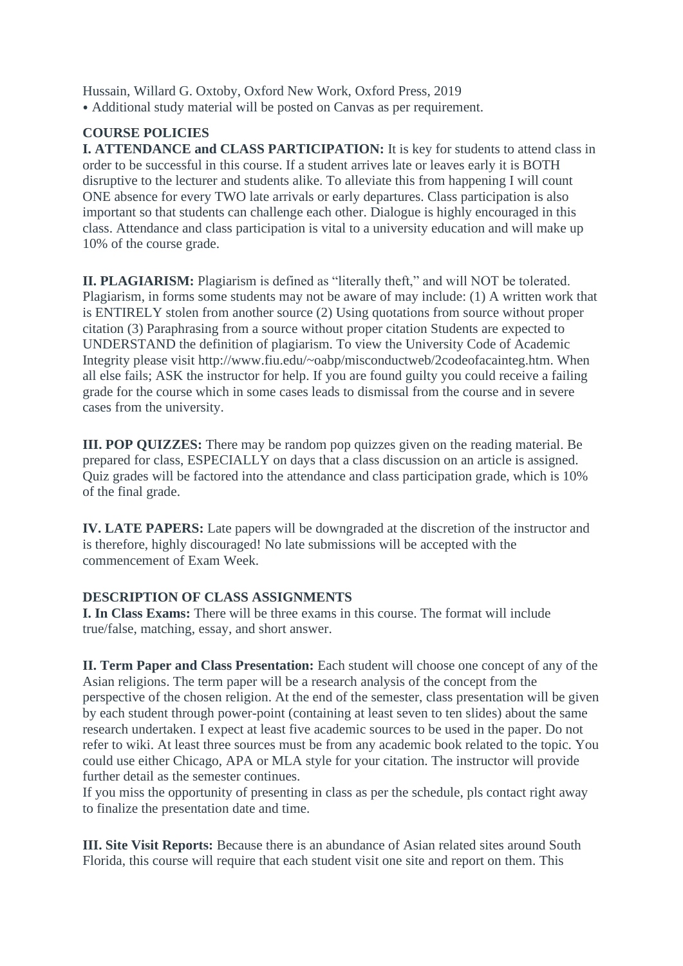Hussain, Willard G. Oxtoby, Oxford New Work, Oxford Press, 2019 ⦁ Additional study material will be posted on Canvas as per requirement.

## **COURSE POLICIES**

**I. ATTENDANCE and CLASS PARTICIPATION:** It is key for students to attend class in order to be successful in this course. If a student arrives late or leaves early it is BOTH disruptive to the lecturer and students alike. To alleviate this from happening I will count ONE absence for every TWO late arrivals or early departures. Class participation is also important so that students can challenge each other. Dialogue is highly encouraged in this class. Attendance and class participation is vital to a university education and will make up 10% of the course grade.

**II. PLAGIARISM:** Plagiarism is defined as "literally theft," and will NOT be tolerated. Plagiarism, in forms some students may not be aware of may include: (1) A written work that is ENTIRELY stolen from another source (2) Using quotations from source without proper citation (3) Paraphrasing from a source without proper citation Students are expected to UNDERSTAND the definition of plagiarism. To view the University Code of Academic Integrity please visit http://www.fiu.edu/~oabp/misconductweb/2codeofacainteg.htm. When all else fails; ASK the instructor for help. If you are found guilty you could receive a failing grade for the course which in some cases leads to dismissal from the course and in severe cases from the university.

**III. POP QUIZZES:** There may be random pop quizzes given on the reading material. Be prepared for class, ESPECIALLY on days that a class discussion on an article is assigned. Quiz grades will be factored into the attendance and class participation grade, which is 10% of the final grade.

**IV. LATE PAPERS:** Late papers will be downgraded at the discretion of the instructor and is therefore, highly discouraged! No late submissions will be accepted with the commencement of Exam Week.

### **DESCRIPTION OF CLASS ASSIGNMENTS**

**I. In Class Exams:** There will be three exams in this course. The format will include true/false, matching, essay, and short answer.

**II. Term Paper and Class Presentation:** Each student will choose one concept of any of the Asian religions. The term paper will be a research analysis of the concept from the perspective of the chosen religion. At the end of the semester, class presentation will be given by each student through power-point (containing at least seven to ten slides) about the same research undertaken. I expect at least five academic sources to be used in the paper. Do not refer to wiki. At least three sources must be from any academic book related to the topic. You could use either Chicago, APA or MLA style for your citation. The instructor will provide further detail as the semester continues.

If you miss the opportunity of presenting in class as per the schedule, pls contact right away to finalize the presentation date and time.

**III. Site Visit Reports:** Because there is an abundance of Asian related sites around South Florida, this course will require that each student visit one site and report on them. This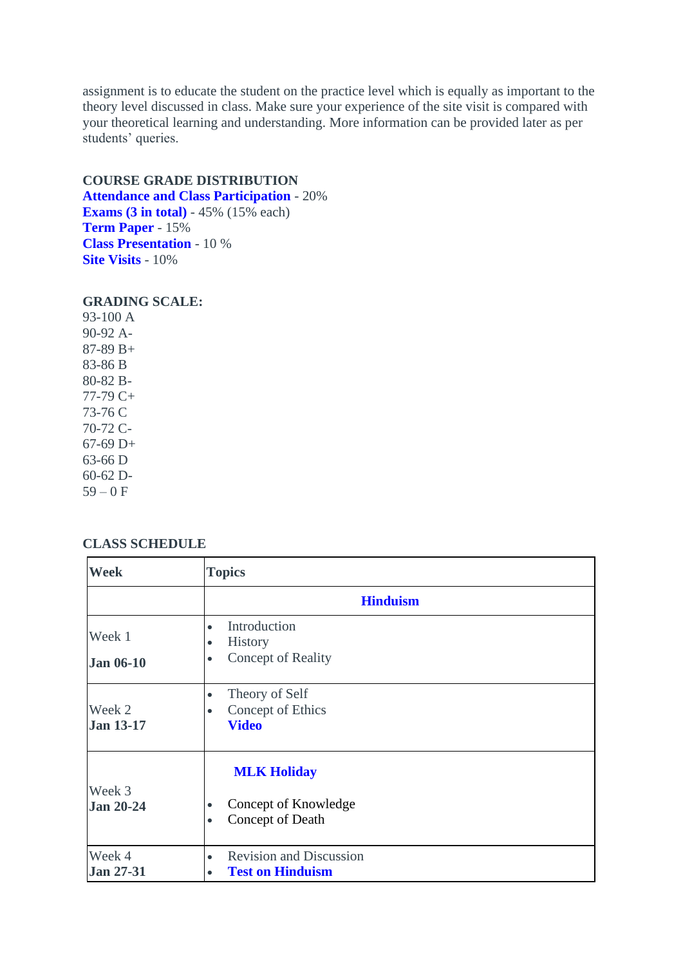assignment is to educate the student on the practice level which is equally as important to the theory level discussed in class. Make sure your experience of the site visit is compared with your theoretical learning and understanding. More information can be provided later as per students' queries.

### **COURSE GRADE DISTRIBUTION**

**Attendance and Class Participation** - 20% **Exams (3 in total)** - 45% (15% each) **Term Paper** - 15% **Class Presentation** - 10 % **Site Visits** - 10%

### **GRADING SCALE:**

93-100 A 90-92 A-87-89 B+ 83-86 B 80-82 B-77-79 C+ 73-76 C 70-72 C-67-69 D+ 63-66 D 60-62 D- $59 - 0 F$ 

### **CLASS SCHEDULE**

| Week                       | <b>Topics</b>                                                                            |
|----------------------------|------------------------------------------------------------------------------------------|
|                            | <b>Hinduism</b>                                                                          |
| Week 1                     | Introduction<br>$\bullet$<br><b>History</b><br>$\bullet$                                 |
| <b>Jan 06-10</b>           | <b>Concept of Reality</b><br>$\bullet$                                                   |
| Week 2<br><b>Jan 13-17</b> | Theory of Self<br>$\bullet$<br>Concept of Ethics<br>$\bullet$<br><b>Video</b>            |
| Week 3<br><b>Jan 20-24</b> | <b>MLK Holiday</b><br>Concept of Knowledge<br>$\bullet$<br>Concept of Death<br>$\bullet$ |
| Week 4<br><b>Jan 27-31</b> | <b>Revision and Discussion</b><br>$\bullet$<br><b>Test on Hinduism</b><br>$\bullet$      |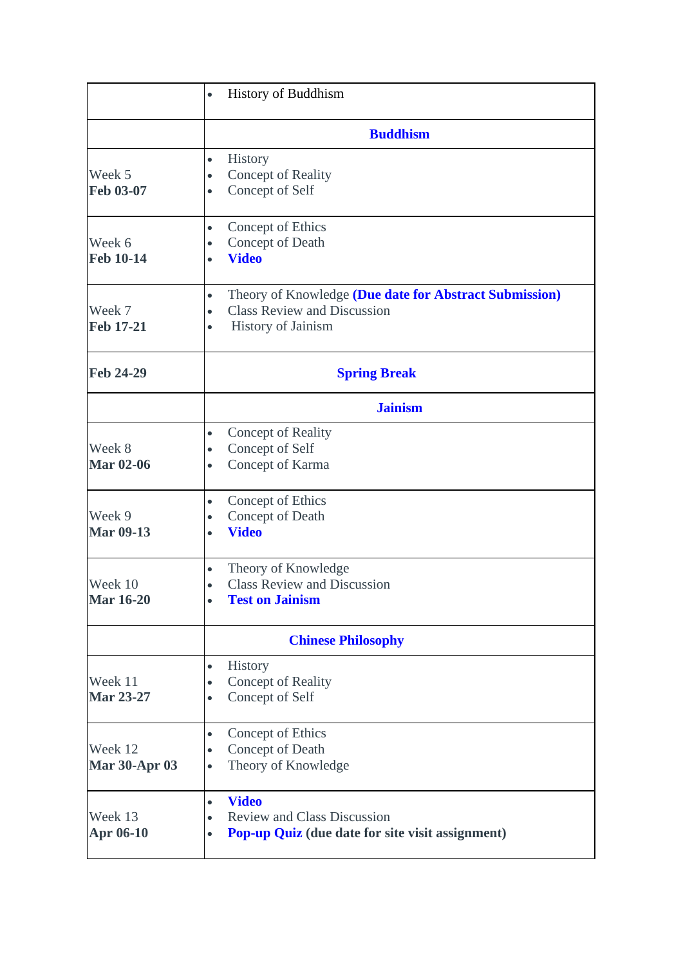|                                 | <b>History of Buddhism</b><br>$\bullet$                                                                                                                   |
|---------------------------------|-----------------------------------------------------------------------------------------------------------------------------------------------------------|
|                                 | <b>Buddhism</b>                                                                                                                                           |
| Week 5<br>Feb 03-07             | <b>History</b><br>$\bullet$<br>Concept of Reality<br>$\bullet$<br>Concept of Self<br>$\bullet$                                                            |
| Week 6<br><b>Feb 10-14</b>      | Concept of Ethics<br>$\bullet$<br>Concept of Death<br>$\bullet$<br><b>Video</b><br>$\bullet$                                                              |
| Week 7<br><b>Feb 17-21</b>      | Theory of Knowledge (Due date for Abstract Submission)<br>$\bullet$<br><b>Class Review and Discussion</b><br>$\bullet$<br>History of Jainism<br>$\bullet$ |
| <b>Feb 24-29</b>                | <b>Spring Break</b>                                                                                                                                       |
|                                 | <b>Jainism</b>                                                                                                                                            |
| Week 8<br><b>Mar 02-06</b>      | Concept of Reality<br>$\bullet$<br>Concept of Self<br>$\bullet$<br>Concept of Karma<br>$\bullet$                                                          |
| Week 9<br><b>Mar 09-13</b>      | Concept of Ethics<br>$\bullet$<br>Concept of Death<br>$\bullet$<br><b>Video</b><br>$\bullet$                                                              |
| Week 10<br><b>Mar 16-20</b>     | Theory of Knowledge<br>$\bullet$<br><b>Class Review and Discussion</b><br>$\bullet$<br><b>Test on Jainism</b><br>$\bullet$                                |
|                                 | <b>Chinese Philosophy</b>                                                                                                                                 |
| Week 11<br><b>Mar 23-27</b>     | History<br>$\bullet$<br>Concept of Reality<br>$\bullet$<br>Concept of Self<br>$\bullet$                                                                   |
| Week 12<br><b>Mar 30-Apr 03</b> | Concept of Ethics<br>$\bullet$<br>Concept of Death<br>$\bullet$<br>Theory of Knowledge<br>$\bullet$                                                       |
| Week 13<br>Apr 06-10            | <b>Video</b><br>$\bullet$<br><b>Review and Class Discussion</b><br>$\bullet$<br>Pop-up Quiz (due date for site visit assignment)<br>$\bullet$             |